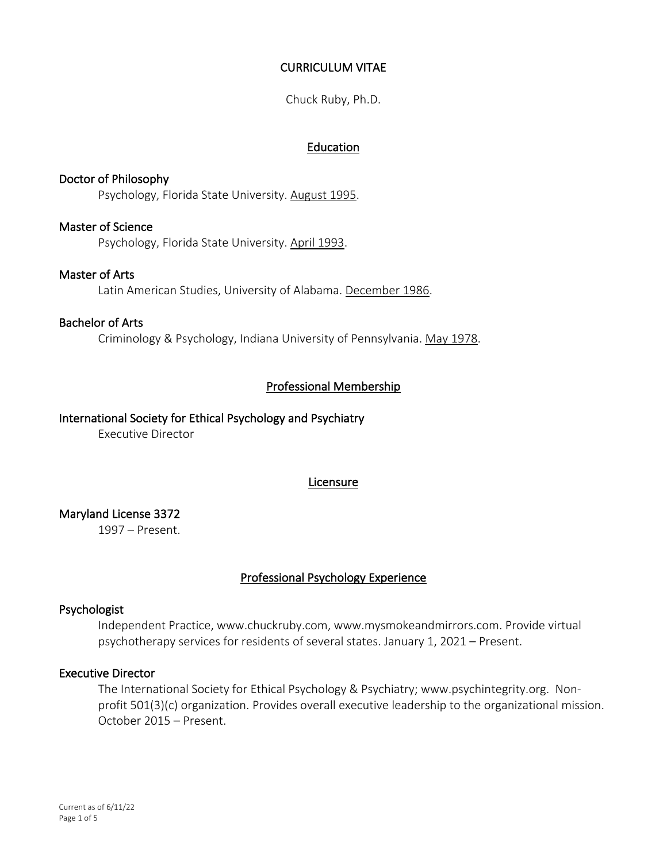# CURRICULUM VITAE

Chuck Ruby, Ph.D.

# Education

# Doctor of Philosophy Psychology, Florida State University. August 1995.

#### Master of Science

Psychology, Florida State University. April 1993.

# Master of Arts

Latin American Studies, University of Alabama. December 1986.

#### Bachelor of Arts

Criminology & Psychology, Indiana University of Pennsylvania. May 1978.

# Professional Membership

# International Society for Ethical Psychology and Psychiatry

Executive Director

# Licensure

# Maryland License 3372

1997 – Present.

# Professional Psychology Experience

#### Psychologist

Independent Practice, www.chuckruby.com, www.mysmokeandmirrors.com. Provide virtual psychotherapy services for residents of several states. January 1, 2021 – Present.

### Executive Director

The International Society for Ethical Psychology & Psychiatry; www.psychintegrity.org. Nonprofit 501(3)(c) organization. Provides overall executive leadership to the organizational mission. October 2015 – Present.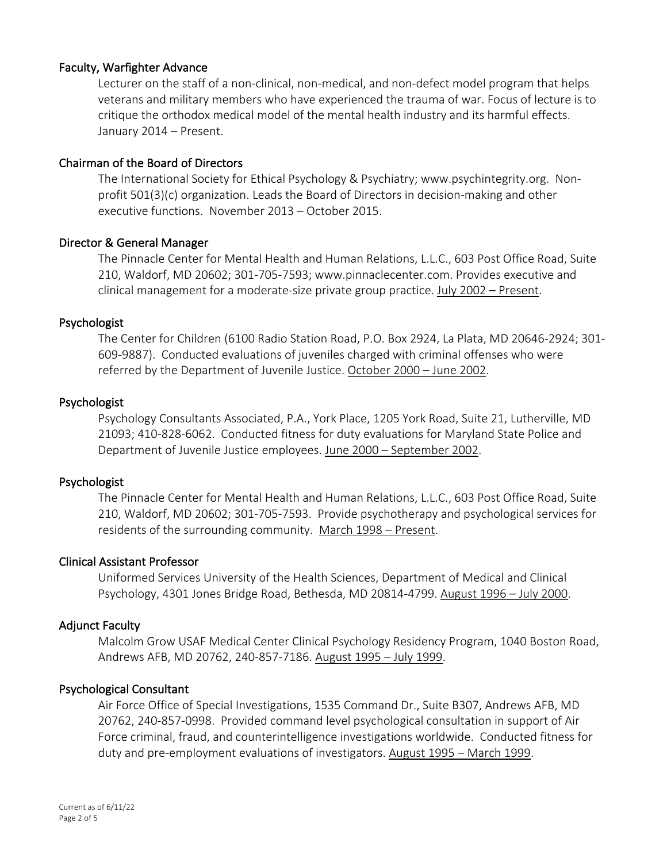# Faculty, Warfighter Advance

Lecturer on the staff of a non-clinical, non-medical, and non-defect model program that helps veterans and military members who have experienced the trauma of war. Focus of lecture is to critique the orthodox medical model of the mental health industry and its harmful effects. January 2014 – Present.

#### Chairman of the Board of Directors

The International Society for Ethical Psychology & Psychiatry; www.psychintegrity.org. Nonprofit 501(3)(c) organization. Leads the Board of Directors in decision-making and other executive functions. November 2013 – October 2015.

#### Director & General Manager

The Pinnacle Center for Mental Health and Human Relations, L.L.C., 603 Post Office Road, Suite 210, Waldorf, MD 20602; 301-705-7593; www.pinnaclecenter.com. Provides executive and clinical management for a moderate-size private group practice. July 2002 – Present.

#### Psychologist

The Center for Children (6100 Radio Station Road, P.O. Box 2924, La Plata, MD 20646-2924; 301- 609-9887). Conducted evaluations of juveniles charged with criminal offenses who were referred by the Department of Juvenile Justice. October 2000 – June 2002.

# Psychologist

Psychology Consultants Associated, P.A., York Place, 1205 York Road, Suite 21, Lutherville, MD 21093; 410-828-6062. Conducted fitness for duty evaluations for Maryland State Police and Department of Juvenile Justice employees. June 2000 – September 2002.

#### Psychologist

The Pinnacle Center for Mental Health and Human Relations, L.L.C., 603 Post Office Road, Suite 210, Waldorf, MD 20602; 301-705-7593. Provide psychotherapy and psychological services for residents of the surrounding community. March 1998 – Present.

#### Clinical Assistant Professor

Uniformed Services University of the Health Sciences, Department of Medical and Clinical Psychology, 4301 Jones Bridge Road, Bethesda, MD 20814-4799. August 1996 – July 2000.

#### Adjunct Faculty

Malcolm Grow USAF Medical Center Clinical Psychology Residency Program, 1040 Boston Road, Andrews AFB, MD 20762, 240-857-7186. August 1995 – July 1999.

# Psychological Consultant

Air Force Office of Special Investigations, 1535 Command Dr., Suite B307, Andrews AFB, MD 20762, 240-857-0998. Provided command level psychological consultation in support of Air Force criminal, fraud, and counterintelligence investigations worldwide. Conducted fitness for duty and pre-employment evaluations of investigators. August 1995 – March 1999.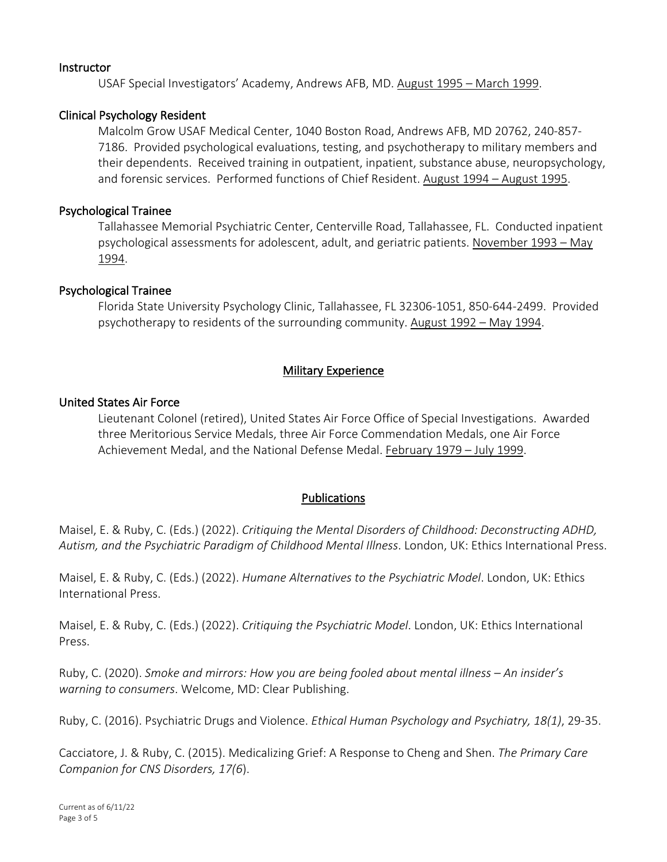#### Instructor

USAF Special Investigators' Academy, Andrews AFB, MD. August 1995 – March 1999.

#### Clinical Psychology Resident

Malcolm Grow USAF Medical Center, 1040 Boston Road, Andrews AFB, MD 20762, 240-857- 7186. Provided psychological evaluations, testing, and psychotherapy to military members and their dependents. Received training in outpatient, inpatient, substance abuse, neuropsychology, and forensic services. Performed functions of Chief Resident. August 1994 – August 1995.

#### Psychological Trainee

Tallahassee Memorial Psychiatric Center, Centerville Road, Tallahassee, FL. Conducted inpatient psychological assessments for adolescent, adult, and geriatric patients. November 1993 – May 1994.

#### Psychological Trainee

Florida State University Psychology Clinic, Tallahassee, FL 32306-1051, 850-644-2499. Provided psychotherapy to residents of the surrounding community. August 1992 – May 1994.

#### Military Experience

#### United States Air Force

Lieutenant Colonel (retired), United States Air Force Office of Special Investigations. Awarded three Meritorious Service Medals, three Air Force Commendation Medals, one Air Force Achievement Medal, and the National Defense Medal. February 1979 – July 1999.

#### Publications

Maisel, E. & Ruby, C. (Eds.) (2022). *Critiquing the Mental Disorders of Childhood: Deconstructing ADHD, Autism, and the Psychiatric Paradigm of Childhood Mental Illness*. London, UK: Ethics International Press.

Maisel, E. & Ruby, C. (Eds.) (2022). *Humane Alternatives to the Psychiatric Model*. London, UK: Ethics International Press.

Maisel, E. & Ruby, C. (Eds.) (2022). *Critiquing the Psychiatric Model*. London, UK: Ethics International Press.

Ruby, C. (2020). *Smoke and mirrors: How you are being fooled about mental illness – An insider's warning to consumers*. Welcome, MD: Clear Publishing.

Ruby, C. (2016). Psychiatric Drugs and Violence. *Ethical Human Psychology and Psychiatry, 18(1)*, 29-35.

Cacciatore, J. & Ruby, C. (2015). Medicalizing Grief: A Response to Cheng and Shen. *The Primary Care Companion for CNS Disorders, 17(6*).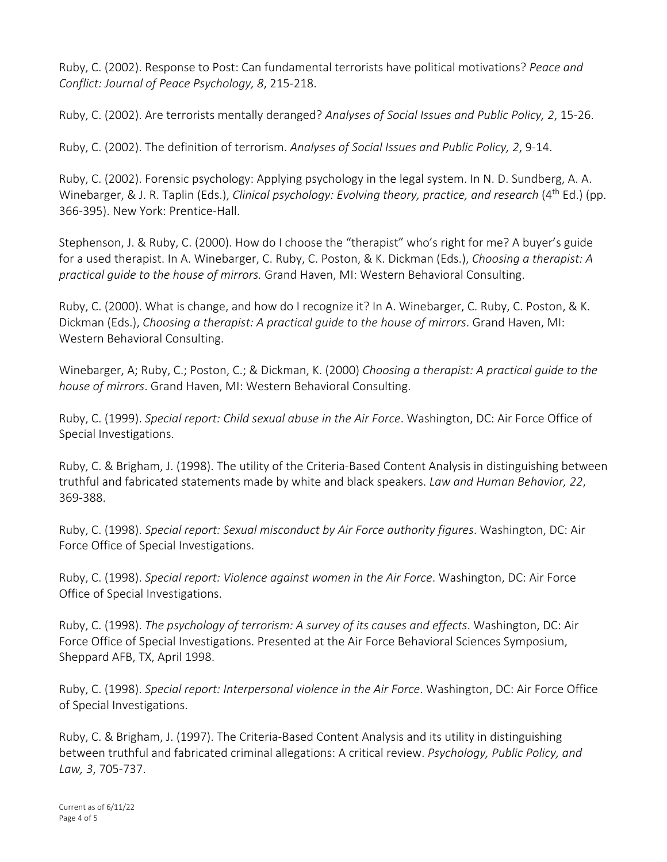Ruby, C. (2002). Response to Post: Can fundamental terrorists have political motivations? *Peace and Conflict: Journal of Peace Psychology, 8*, 215-218.

Ruby, C. (2002). Are terrorists mentally deranged? *Analyses of Social Issues and Public Policy, 2*, 15-26.

Ruby, C. (2002). The definition of terrorism. *Analyses of Social Issues and Public Policy, 2*, 9-14.

Ruby, C. (2002). Forensic psychology: Applying psychology in the legal system. In N. D. Sundberg, A. A. Winebarger, & J. R. Taplin (Eds.), *Clinical psychology: Evolving theory, practice, and research* (4<sup>th</sup> Ed.) (pp. 366-395). New York: Prentice-Hall.

Stephenson, J. & Ruby, C. (2000). How do I choose the "therapist" who's right for me? A buyer's guide for a used therapist. In A. Winebarger, C. Ruby, C. Poston, & K. Dickman (Eds.), *Choosing a therapist: A practical guide to the house of mirrors.* Grand Haven, MI: Western Behavioral Consulting.

Ruby, C. (2000). What is change, and how do I recognize it? In A. Winebarger, C. Ruby, C. Poston, & K. Dickman (Eds.), *Choosing a therapist: A practical guide to the house of mirrors*. Grand Haven, MI: Western Behavioral Consulting.

Winebarger, A; Ruby, C.; Poston, C.; & Dickman, K. (2000) *Choosing a therapist: A practical guide to the house of mirrors*. Grand Haven, MI: Western Behavioral Consulting.

Ruby, C. (1999). *Special report: Child sexual abuse in the Air Force*. Washington, DC: Air Force Office of Special Investigations.

Ruby, C. & Brigham, J. (1998). The utility of the Criteria-Based Content Analysis in distinguishing between truthful and fabricated statements made by white and black speakers. *Law and Human Behavior, 22*, 369-388.

Ruby, C. (1998). *Special report: Sexual misconduct by Air Force authority figures*. Washington, DC: Air Force Office of Special Investigations.

Ruby, C. (1998). *Special report: Violence against women in the Air Force*. Washington, DC: Air Force Office of Special Investigations.

Ruby, C. (1998). *The psychology of terrorism: A survey of its causes and effects*. Washington, DC: Air Force Office of Special Investigations. Presented at the Air Force Behavioral Sciences Symposium, Sheppard AFB, TX, April 1998.

Ruby, C. (1998). *Special report: Interpersonal violence in the Air Force*. Washington, DC: Air Force Office of Special Investigations.

Ruby, C. & Brigham, J. (1997). The Criteria-Based Content Analysis and its utility in distinguishing between truthful and fabricated criminal allegations: A critical review. *Psychology, Public Policy, and Law, 3*, 705-737.